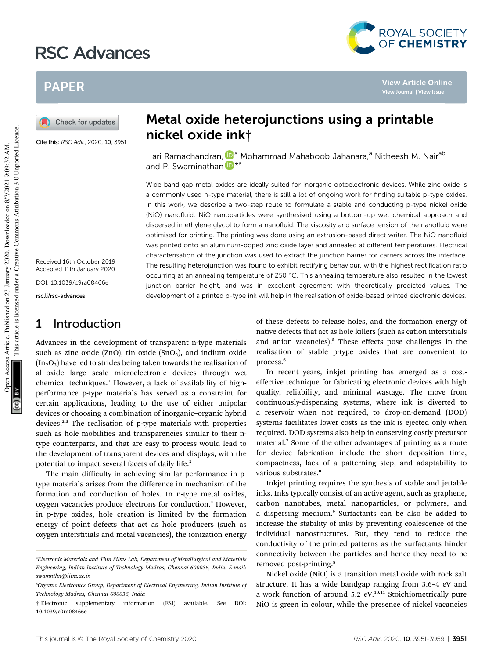# RSC Advances



**View Article Online**

## PAPER

Check for updates

Cite this: RSC Adv., 2020, 10, 3951

Received 16th October 2019 Accepted 11th January 2020 DOI: 10.1039/c9ra08466e

rsc.li/rsc-advances

### 1 Introduction

Advances in the development of transparent n-type materials such as zinc oxide (ZnO), tin oxide (SnO<sub>2</sub>), and indium oxide  $(In_2O_3)$  have led to strides being taken towards the realisation of all-oxide large scale microelectronic devices through wet chemical techniques.<sup>1</sup> However, a lack of availability of highperformance p-type materials has served as a constraint for certain applications, leading to the use of either unipolar devices or choosing a combination of inorganic–organic hybrid devices.<sup>2,3</sup> The realisation of p-type materials with properties such as hole mobilities and transparencies similar to their ntype counterparts, and that are easy to process would lead to the development of transparent devices and displays, with the potential to impact several facets of daily life.<sup>3</sup>

The main difficulty in achieving similar performance in ptype materials arises from the difference in mechanism of the formation and conduction of holes. In n-type metal oxides, oxygen vacancies produce electrons for conduction.<sup>4</sup> However, in p-type oxides, hole creation is limited by the formation energy of point defects that act as hole producers (such as oxygen interstitials and metal vacancies), the ionization energy

## Metal oxide heterojunctions using a printable nickel oxide ink†

Hari Ramachandran, **D**<sup>a</sup> Mohammad Mahaboob Jahanara,<sup>a</sup> Nitheesh M. Nair<sup>ab</sup> and P. Swaminathan in \*a

Wide band gap metal oxides are ideally suited for inorganic optoelectronic devices. While zinc oxide is a commonly used n-type material, there is still a lot of ongoing work for finding suitable p-type oxides. In this work, we describe a two-step route to formulate a stable and conducting p-type nickel oxide (NiO) nanofluid. NiO nanoparticles were synthesised using a bottom-up wet chemical approach and dispersed in ethylene glycol to form a nanofluid. The viscosity and surface tension of the nanofluid were optimised for printing. The printing was done using an extrusion-based direct writer. The NiO nanofluid was printed onto an aluminum-doped zinc oxide layer and annealed at different temperatures. Electrical characterisation of the junction was used to extract the junction barrier for carriers across the interface. The resulting heterojunction was found to exhibit rectifying behaviour, with the highest rectification ratio occurring at an annealing temperature of 250 °C. This annealing temperature also resulted in the lowest junction barrier height, and was in excellent agreement with theoretically predicted values. The development of a printed p-type ink will help in the realisation of oxide-based printed electronic devices.

> of these defects to release holes, and the formation energy of native defects that act as hole killers (such as cation interstitials and anion vacancies).<sup>5</sup> These effects pose challenges in the realisation of stable p-type oxides that are convenient to process.<sup>6</sup>

> In recent years, inkjet printing has emerged as a costeffective technique for fabricating electronic devices with high quality, reliability, and minimal wastage. The move from continuously-dispensing systems, where ink is diverted to a reservoir when not required, to drop-on-demand (DOD) systems facilitates lower costs as the ink is ejected only when required. DOD systems also help in conserving costly precursor material.<sup>7</sup> Some of the other advantages of printing as a route for device fabrication include the short deposition time, compactness, lack of a patterning step, and adaptability to various substrates.<sup>8</sup>

> Inkjet printing requires the synthesis of stable and jettable inks. Inks typically consist of an active agent, such as graphene, carbon nanotubes, metal nanoparticles, or polymers, and a dispersing medium.<sup>9</sup> Surfactants can be also be added to increase the stability of inks by preventing coalescence of the individual nanostructures. But, they tend to reduce the conductivity of the printed patterns as the surfactants hinder connectivity between the particles and hence they need to be removed post-printing.<sup>8</sup>

> Nickel oxide (NiO) is a transition metal oxide with rock salt structure. It has a wide bandgap ranging from 3.6–4 eV and a work function of around 5.2 eV.<sup>10,11</sup> Stoichiometrically pure NiO is green in colour, while the presence of nickel vacancies

*<sup>a</sup>Electronic Materials and Thin Films Lab, Department of Metallurgical and Materials Engineering, Indian Institute of Technology Madras, Chennai 600036, India. E-mail: swamnthn@iitm.ac.in*

*<sup>b</sup>Organic Electronics Group, Department of Electrical Engineering, Indian Institute of Technology Madras, Chennai 600036, India*

<sup>†</sup> Electronic supplementary information (ESI) available. See DOI: 10.1039/c9ra08466e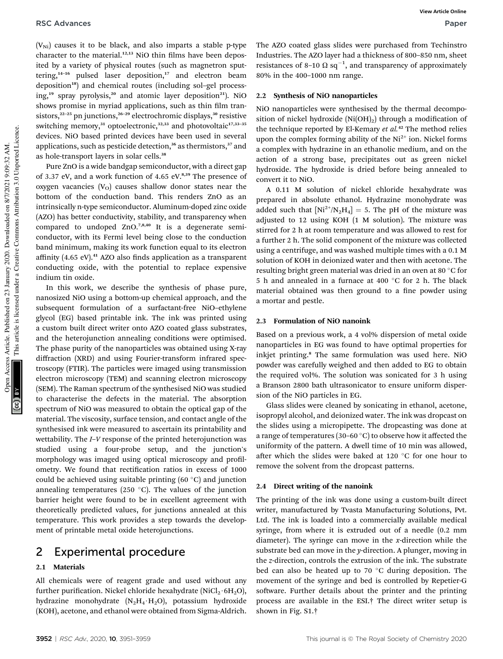**View Article Online**

 $(V_{\text{Ni}})$  causes it to be black, and also imparts a stable p-type character to the material. $12,13$  NiO thin films have been deposited by a variety of physical routes (such as magnetron sputtering,<sup>14-16</sup> pulsed laser deposition,<sup>17</sup> and electron beam deposition<sup>18</sup>) and chemical routes (including sol-gel processing, $19$  spray pyrolysis, $20$  and atomic layer deposition<sup>21</sup>). NiO shows promise in myriad applications, such as thin film transistors, $2^{2-25}$  pn junctions, $2^{6-29}$  electrochromic displays, $3^{0}$  resistive switching memory,<sup>31</sup> optoelectronic,<sup>32,33</sup> and photovoltaic<sup>17,33-35</sup> devices. NiO based printed devices have been used in several applications, such as pesticide detection, $36$  as thermistors, $37$  and as hole-transport layers in solar cells.<sup>38</sup>

Pure ZnO is a wide bandgap semiconductor, with a direct gap of 3.37 eV, and a work function of 4.65 eV.<sup>8,39</sup> The presence of oxygen vacancies  $(V<sub>O</sub>)$  causes shallow donor states near the bottom of the conduction band. This renders ZnO as an intrinsically n-type semiconductor. Aluminum-doped zinc oxide (AZO) has better conductivity, stability, and transparency when compared to undoped ZnO.7,8,40 It is a degenerate semiconductor, with its Fermi level being close to the conduction band minimum, making its work function equal to its electron affinity  $(4.65 \text{ eV})$ .<sup>41</sup> AZO also finds application as a transparent conducting oxide, with the potential to replace expensive indium tin oxide.

In this work, we describe the synthesis of phase pure, nanosized NiO using a bottom-up chemical approach, and the subsequent formulation of a surfactant-free NiO–ethylene glycol (EG) based printable ink. The ink was printed using a custom built direct writer onto AZO coated glass substrates, and the heterojunction annealing conditions were optimised. The phase purity of the nanoparticles was obtained using X-ray diffraction (XRD) and using Fourier-transform infrared spectroscopy (FTIR). The particles were imaged using transmission electron microscopy (TEM) and scanning electron microscopy (SEM). The Raman spectrum of the synthesised NiO was studied to characterise the defects in the material. The absorption spectrum of NiO was measured to obtain the optical gap of the material. The viscosity, surface tension, and contact angle of the synthesised ink were measured to ascertain its printability and wettability. The *I*–*V* response of the printed heterojunction was studied using a four-probe setup, and the junction's morphology was imaged using optical microscopy and profilometry. We found that rectification ratios in excess of 1000 could be achieved using suitable printing  $(60 °C)$  and junction annealing temperatures (250  $^{\circ}$ C). The values of the junction barrier height were found to be in excellent agreement with theoretically predicted values, for junctions annealed at this temperature. This work provides a step towards the development of printable metal oxide heterojunctions.

### 2 Experimental procedure

### 2.1 Materials

All chemicals were of reagent grade and used without any further purification. Nickel chloride hexahydrate (NiCl<sub>2</sub> $\cdot$ 6H<sub>2</sub>O), hydrazine monohydrate  $(N_2H_4 \cdot H_2O)$ , potassium hydroxide (KOH), acetone, and ethanol were obtained from Sigma-Aldrich.

The AZO coated glass slides were purchased from Techinstro Industries. The AZO layer had a thickness of 800–850 nm, sheet resistances of 8-10  $\Omega$  sq<sup>-1</sup>, and transparency of approximately 80% in the 400–1000 nm range.

#### 2.2 Synthesis of NiO nanoparticles

NiO nanoparticles were synthesised by the thermal decomposition of nickel hydroxide  $(Ni(OH)_2)$  through a modification of the technique reported by El-Kemary *et al.*<sup>42</sup> The method relies upon the complex forming ability of the  $Ni<sup>2+</sup>$  ion. Nickel forms a complex with hydrazine in an ethanolic medium, and on the action of a strong base, precipitates out as green nickel hydroxide. The hydroxide is dried before being annealed to convert it to NiO.

A 0.11 M solution of nickel chloride hexahydrate was prepared in absolute ethanol. Hydrazine monohydrate was added such that  $[Ni^{2+}/N_2H_4] = 5$ . The pH of the mixture was adjusted to 12 using KOH (1 M solution). The mixture was stirred for 2 h at room temperature and was allowed to rest for a further 2 h. The solid component of the mixture was collected using a centrifuge, and was washed multiple times with a 0.1 M solution of KOH in deionized water and then with acetone. The resulting bright green material was dried in an oven at 80 °C for 5 h and annealed in a furnace at 400  $^{\circ}$ C for 2 h. The black material obtained was then ground to a fine powder using a mortar and pestle.

### 2.3 Formulation of NiO nanoink

Based on a previous work, a 4 vol% dispersion of metal oxide nanoparticles in EG was found to have optimal properties for inkjet printing.<sup>8</sup> The same formulation was used here. NiO powder was carefully weighed and then added to EG to obtain the required vol%. The solution was sonicated for 3 h using a Branson 2800 bath ultrasonicator to ensure uniform dispersion of the NiO particles in EG.

Glass slides were cleaned by sonicating in ethanol, acetone, isopropyl alcohol, and deionized water. The ink was dropcast on the slides using a micropipette. The dropcasting was done at a range of temperatures (30–60  $^{\circ}$ C) to observe how it affected the uniformity of the pattern. A dwell time of 10 min was allowed, after which the slides were baked at 120  $\degree$ C for one hour to remove the solvent from the dropcast patterns.

### 2.4 Direct writing of the nanoink

The printing of the ink was done using a custom-built direct writer, manufactured by Tvasta Manufacturing Solutions, Pvt. Ltd. The ink is loaded into a commercially available medical syringe, from where it is extruded out of a needle (0.2 mm diameter). The syringe can move in the *x*-direction while the substrate bed can move in the *y*-direction. A plunger, moving in the *z*-direction, controls the extrusion of the ink. The substrate bed can also be heated up to 70  $\degree$ C during deposition. The movement of the syringe and bed is controlled by Repetier-G software. Further details about the printer and the printing process are available in the ESI.† The direct writer setup is shown in Fig. S1.†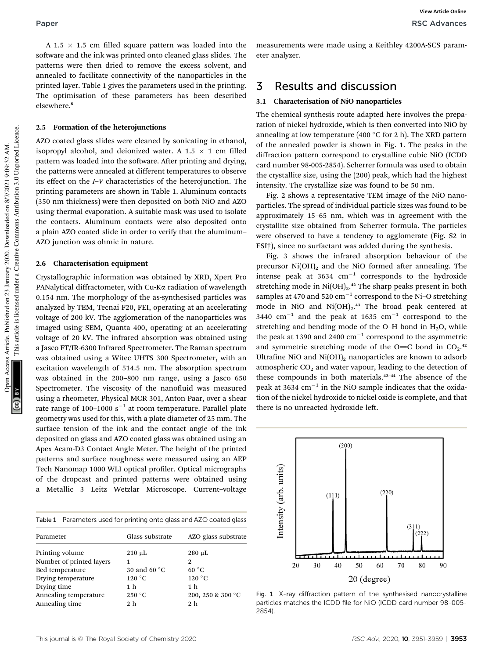A 1.5  $\times$  1.5 cm filled square pattern was loaded into the software and the ink was printed onto cleaned glass slides. The patterns were then dried to remove the excess solvent, and annealed to facilitate connectivity of the nanoparticles in the printed layer. Table 1 gives the parameters used in the printing. The optimisation of these parameters has been described elsewhere.<sup>8</sup>

#### 2.5 Formation of the heterojunctions

AZO coated glass slides were cleaned by sonicating in ethanol, isopropyl alcohol, and deionized water. A 1.5  $\times$  1 cm filled pattern was loaded into the software. After printing and drying, the patterns were annealed at different temperatures to observe its effect on the *I*–*V* characteristics of the heterojunction. The printing parameters are shown in Table 1. Aluminum contacts (350 nm thickness) were then deposited on both NiO and AZO using thermal evaporation. A suitable mask was used to isolate the contacts. Aluminum contacts were also deposited onto a plain AZO coated slide in order to verify that the aluminum– AZO junction was ohmic in nature.

#### 2.6 Characterisation equipment

Crystallographic information was obtained by XRD, Xpert Pro PANalytical diffractometer, with Cu-Ka radiation of wavelength 0.154 nm. The morphology of the as-synthesised particles was analyzed by TEM, Tecnai F20, FEI, operating at an accelerating voltage of 200 kV. The agglomeration of the nanoparticles was imaged using SEM, Quanta 400, operating at an accelerating voltage of 20 kV. The infrared absorption was obtained using a Jasco FT/IR-6300 Infrared Spectrometer. The Raman spectrum was obtained using a Witec UHTS 300 Spectrometer, with an excitation wavelength of 514.5 nm. The absorption spectrum was obtained in the 200–800 nm range, using a Jasco 650 Spectrometer. The viscosity of the nanofluid was measured using a rheometer, Physical MCR 301, Anton Paar, over a shear rate range of 100–1000  $\rm s^{-1}$  at room temperature. Parallel plate geometry was used for this, with a plate diameter of 25 mm. The surface tension of the ink and the contact angle of the ink deposited on glass and AZO coated glass was obtained using an Apex Acam-D3 Contact Angle Meter. The height of the printed patterns and surface roughness were measured using an AEP Tech Nanomap 1000 WLI optical profiler. Optical micrographs of the dropcast and printed patterns were obtained using Metallic 3 Leitz Wetzlar Microscope. Current-voltage

|  | Table 1 Parameters used for printing onto glass and AZO coated glass |  |  |  |  |  |  |  |
|--|----------------------------------------------------------------------|--|--|--|--|--|--|--|
|--|----------------------------------------------------------------------|--|--|--|--|--|--|--|

| Parameter                | Glass substrate | AZO glass substrate |
|--------------------------|-----------------|---------------------|
| Printing volume          | $210 \mu L$     | $280 \mu L$         |
| Number of printed layers |                 | 2                   |
| Bed temperature          | 30 and 60 °C    | $60^{\circ}$ C      |
| Drying temperature       | $120^{\circ}$ C | $120\text{ °C}$     |
| Drying time              | 1 <sub>h</sub>  | 1 <sub>h</sub>      |
| Annealing temperature    | 250 °C          | 200, 250 & 300 °C   |
| Annealing time           | 2 <sub>h</sub>  | 2 <sub>h</sub>      |
|                          |                 |                     |

measurements were made using a Keithley 4200A-SCS parameter analyzer.

### 3 Results and discussion

#### 3.1 Characterisation of NiO nanoparticles

The chemical synthesis route adapted here involves the preparation of nickel hydroxide, which is then converted into NiO by annealing at low temperature (400  $\degree$ C for 2 h). The XRD pattern of the annealed powder is shown in Fig. 1. The peaks in the diffraction pattern correspond to crystalline cubic NiO (ICDD card number 98-005-2854). Scherrer formula was used to obtain the crystallite size, using the (200) peak, which had the highest intensity. The crystallize size was found to be 50 nm.

Fig. 2 shows a representative TEM image of the NiO nanoparticles. The spread of individual particle sizes was found to be approximately 15–65 nm, which was in agreement with the crystallite size obtained from Scherrer formula. The particles were observed to have a tendency to agglomerate (Fig. S2 in ESI†), since no surfactant was added during the synthesis.

Fig. 3 shows the infrared absorption behaviour of the precursor  $Ni(OH)_{2}$  and the NiO formed after annealing. The intense peak at 3634  $cm^{-1}$  corresponds to the hydroxide stretching mode in  $Ni(OH)_2$ .<sup>42</sup> The sharp peaks present in both samples at 470 and 520  $\text{cm}^{-1}$  correspond to the Ni-O stretching mode in NiO and  $Ni(OH)_2$ .<sup>43</sup> The broad peak centered at 3440  $\text{cm}^{-1}$  and the peak at 1635  $\text{cm}^{-1}$  correspond to the stretching and bending mode of the O-H bond in  $H<sub>2</sub>O$ , while the peak at 1390 and 2400  $\text{cm}^{-1}$  correspond to the asymmetric and symmetric stretching mode of the O=C bond in  $CO<sub>2</sub>$ .<sup>42</sup> Ultrafine NiO and  $Ni(OH)_2$  nanoparticles are known to adsorb atmospheric  $CO<sub>2</sub>$  and water vapour, leading to the detection of these compounds in both materials.<sup>42-44</sup> The absence of the peak at 3634  $\text{cm}^{-1}$  in the NiO sample indicates that the oxidation of the nickel hydroxide to nickel oxide is complete, and that there is no unreacted hydroxide left.



Fig. 1 X-ray diffraction pattern of the synthesised nanocrystalline particles matches the ICDD file for NiO (ICDD card number 98-005- 2854).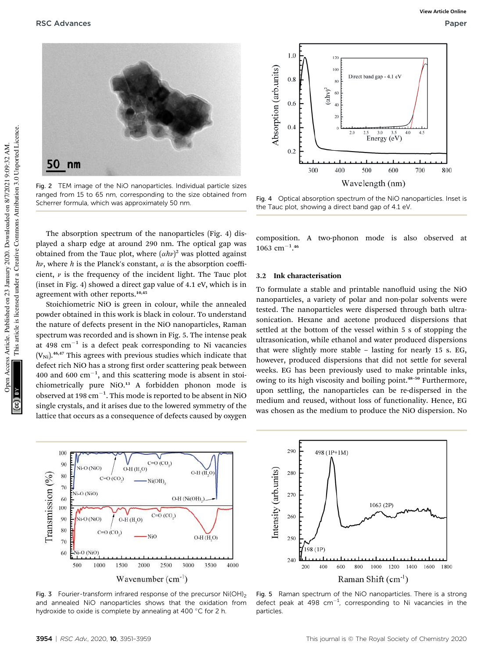

Fig. 2 TEM image of the NiO nanoparticles. Individual particle sizes ranged from 15 to 65 nm, corresponding to the size obtained from Scherrer formula, which was approximately 50 nm.



Fig. 4 Optical absorption spectrum of the NiO nanoparticles. Inset is the Tauc plot, showing a direct band gap of 4.1 eV.

The absorption spectrum of the nanoparticles (Fig. 4) displayed a sharp edge at around 290 nm. The optical gap was obtained from the Tauc plot, where  $(\alpha h\nu)^2$  was plotted against  $h\nu$ , where *h* is the Planck's constant,  $\alpha$  is the absorption coefficient,  $\nu$  is the frequency of the incident light. The Tauc plot (inset in Fig. 4) showed a direct gap value of 4.1 eV, which is in agreement with other reports.<sup>10,45</sup>

Stoichiometric NiO is green in colour, while the annealed powder obtained in this work is black in colour. To understand the nature of defects present in the NiO nanoparticles, Raman spectrum was recorded and is shown in Fig. 5. The intense peak at 498  $\mathrm{cm}^{-1}$  is a defect peak corresponding to Ni vacancies  $(V_{\text{Ni}})$ .<sup>46,47</sup> This agrees with previous studies which indicate that defect rich NiO has a strong first order scattering peak between 400 and 600  $\text{cm}^{-1}$ , and this scattering mode is absent in stoichiometrically pure NiO.<sup>13</sup> A forbidden phonon mode is observed at 198  $\mathrm{cm}^{-1}.$  This mode is reported to be absent in NiO single crystals, and it arises due to the lowered symmetry of the lattice that occurs as a consequence of defects caused by oxygen

composition. A two-phonon mode is also observed at  $1063$  cm<sup>-1</sup>.<sup>46</sup>

#### 3.2 Ink characterisation

To formulate a stable and printable nanofluid using the NiO nanoparticles, a variety of polar and non-polar solvents were tested. The nanoparticles were dispersed through bath ultrasonication. Hexane and acetone produced dispersions that settled at the bottom of the vessel within 5 s of stopping the ultrasonication, while ethanol and water produced dispersions that were slightly more stable – lasting for nearly 15 s. EG, however, produced dispersions that did not settle for several weeks. EG has been previously used to make printable inks, owing to its high viscosity and boiling point.<sup>48</sup>–<sup>50</sup> Furthermore, upon settling, the nanoparticles can be re-dispersed in the medium and reused, without loss of functionality. Hence, EG was chosen as the medium to produce the NiO dispersion. No



Fig. 3 Fourier-transform infrared response of the precursor  $Ni(OH)_{2}$ and annealed NiO nanoparticles shows that the oxidation from hydroxide to oxide is complete by annealing at 400  $^{\circ}$ C for 2 h.



Fig. 5 Raman spectrum of the NiO nanoparticles. There is a strong defect peak at 498  $cm^{-1}$ , corresponding to Ni vacancies in the particles.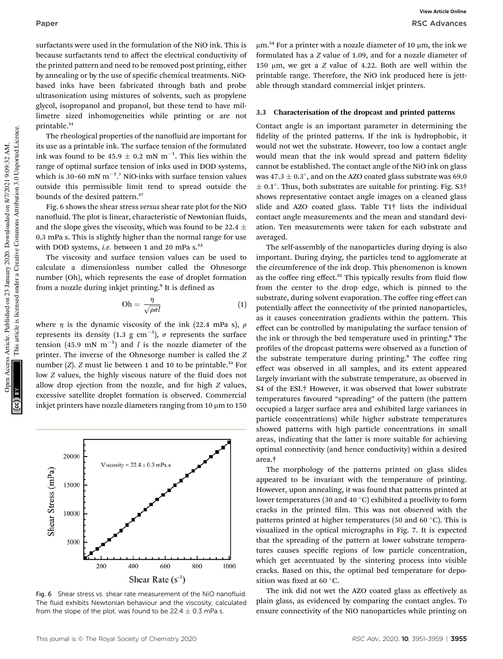surfactants were used in the formulation of the NiO ink. This is because surfactants tend to affect the electrical conductivity of the printed pattern and need to be removed post printing, either by annealing or by the use of specific chemical treatments. NiObased inks have been fabricated through bath and probe ultrasonication using mixtures of solvents, such as propylene glycol, isopropanol and propanol, but these tend to have millimetre sized inhomogeneities while printing or are not printable.<sup>51</sup>

The rheological properties of the nanofluid are important for its use as a printable ink. The surface tension of the formulated ink was found to be  $45.9 \pm 0.2$  mN m<sup>-1</sup>. This lies within the range of optimal surface tension of inks used in DOD systems, which is 30–60 mN  $m^{-1}$ .<sup>7</sup> NiO-inks with surface tension values outside this permissible limit tend to spread outside the bounds of the desired pattern.<sup>37</sup>

Fig. 6 shows the shear stress *versus* shear rate plot for the NiO nanofluid. The plot is linear, characteristic of Newtonian fluids, and the slope gives the viscosity, which was found to be 22.4  $\pm$ 0.3 mPa s. This is slightly higher than the normal range for use with DOD systems, *i.e.* between 1 and 20 mPa s.<sup>52</sup>

The viscosity and surface tension values can be used to calculate a dimensionless number called the Ohnesorge number (Oh), which represents the ease of droplet formation from a nozzle during inkjet printing.<sup>9</sup> It is defined as

$$
\text{Oh} = \frac{\eta}{\sqrt{\rho \sigma l}} \tag{1}
$$

where  $\eta$  is the dynamic viscosity of the ink (22.4 mPa s),  $\rho$ represents its density (1.3 g cm $^{-3}$ ),  $\sigma$  represents the surface tension  $(45.9 \text{ mN m}^{-1})$  and *l* is the nozzle diameter of the printer. The inverse of the Ohnesorge number is called the *Z* number  $(Z)$ . *Z* must lie between 1 and 10 to be printable.<sup>53</sup> For low *Z* values, the highly viscous nature of the fluid does not allow drop ejection from the nozzle, and for high *Z* values, excessive satellite droplet formation is observed. Commercial inkjet printers have nozzle diameters ranging from  $10 \mu m$  to  $150$ 



Fig. 6 Shear stress vs. shear rate measurement of the NiO nanofluid. The fluid exhibits Newtonian behaviour and the viscosity, calculated from the slope of the plot, was found to be  $22.4 \pm 0.3$  mPa s.

 $\mu$ m.<sup>54</sup> For a printer with a nozzle diameter of 10  $\mu$ m, the ink we formulated has a *Z* value of 1.09, and for a nozzle diameter of 150 mm, we get a *Z* value of 4.22. Both are well within the printable range. Therefore, the NiO ink produced here is jettable through standard commercial inkjet printers.

#### 3.3 Characterisation of the dropcast and printed patterns

Contact angle is an important parameter in determining the fidelity of the printed patterns. If the ink is hydrophobic, it would not wet the substrate. However, too low a contact angle would mean that the ink would spread and pattern fidelity cannot be established. The contact angle of the NiO ink on glass was 47.3  $\pm$  0.3 $^{\circ}$ , and on the AZO coated glass substrate was 69.0  $\pm$  0.1°. Thus, both substrates are suitable for printing. Fig. S3 $\dagger$ shows representative contact angle images on a cleaned glass slide and AZO coated glass. Table T1† lists the individual contact angle measurements and the mean and standard deviation. Ten measurements were taken for each substrate and averaged.

The self-assembly of the nanoparticles during drying is also important. During drying, the particles tend to agglomerate at the circumference of the ink drop. This phenomenon is known as the coffee ring effect.<sup>55</sup> This typically results from fluid flow from the center to the drop edge, which is pinned to the substrate, during solvent evaporation. The coffee ring effect can potentially affect the connectivity of the printed nanoparticles, as it causes concentration gradients within the pattern. This effect can be controlled by manipulating the surface tension of the ink or through the bed temperature used in printing.<sup>8</sup> The profiles of the dropcast patterns were observed as a function of the substrate temperature during printing.<sup>9</sup> The coffee ring effect was observed in all samples, and its extent appeared largely invariant with the substrate temperature, as observed in S4 of the ESI.† However, it was observed that lower substrate temperatures favoured "spreading" of the pattern (the pattern occupied a larger surface area and exhibited large variances in particle concentrations) while higher substrate temperatures showed patterns with high particle concentrations in small areas, indicating that the latter is more suitable for achieving optimal connectivity (and hence conductivity) within a desired area.†

The morphology of the patterns printed on glass slides appeared to be invariant with the temperature of printing. However, upon annealing, it was found that patterns printed at lower temperatures (30 and 40  $^{\circ}$ C) exhibited a proclivity to form cracks in the printed film. This was not observed with the patterns printed at higher temperatures (50 and 60  $^{\circ}$ C). This is visualized in the optical micrographs in Fig. 7. It is expected that the spreading of the pattern at lower substrate temperatures causes specific regions of low particle concentration, which get accentuated by the sintering process into visible cracks. Based on this, the optimal bed temperature for deposition was fixed at 60 °C.

The ink did not wet the AZO coated glass as effectively as plain glass, as evidenced by comparing the contact angles. To ensure connectivity of the NiO nanoparticles while printing on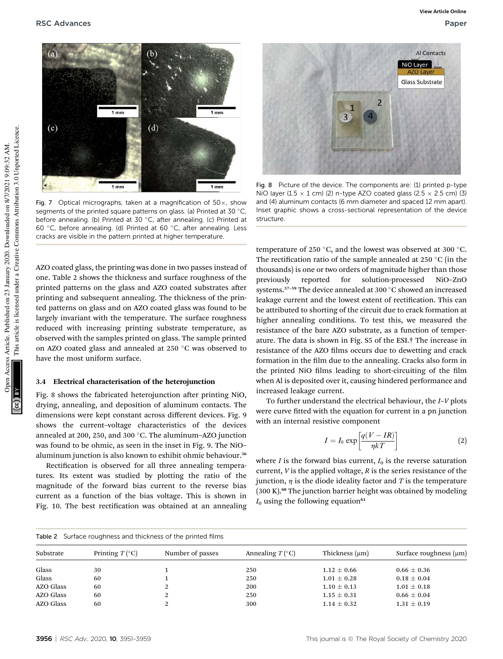

Fig. 7 Optical micrographs, taken at a magnification of  $50\times$ , show segments of the printed square patterns on glass. (a) Printed at 30 °C, before annealing. (b) Printed at 30 °C, after annealing. (c) Printed at 60 °C, before annealing. (d) Printed at 60 °C, after annealing. Less cracks are visible in the pattern printed at higher temperature.

AZO coated glass, the printing was done in two passes instead of one. Table 2 shows the thickness and surface roughness of the printed patterns on the glass and AZO coated substrates after printing and subsequent annealing. The thickness of the printed patterns on glass and on AZO coated glass was found to be largely invariant with the temperature. The surface roughness reduced with increasing printing substrate temperature, as observed with the samples printed on glass. The sample printed on AZO coated glass and annealed at 250 °C was observed to have the most uniform surface.

#### 3.4 Electrical characterisation of the heterojunction

Fig. 8 shows the fabricated heterojunction after printing NiO, drying, annealing, and deposition of aluminum contacts. The dimensions were kept constant across different devices. Fig. 9 shows the current–voltage characteristics of the devices annealed at 200, 250, and 300 $\degree$ C. The aluminum-AZO junction was found to be ohmic, as seen in the inset in Fig. 9. The NiO– aluminum junction is also known to exhibit ohmic behaviour.<sup>56</sup>

Rectification is observed for all three annealing temperatures. Its extent was studied by plotting the ratio of the magnitude of the forward bias current to the reverse bias current as a function of the bias voltage. This is shown in Fig. 10. The best rectification was obtained at an annealing



Fig. 8 Picture of the device. The components are: (1) printed p-type NiO layer (1.5  $\times$  1 cm) (2) n-type AZO coated glass (2.5  $\times$  2.5 cm) (3) and (4) aluminum contacts (6 mm diameter and spaced 12 mm apart). Inset graphic shows a cross-sectional representation of the device structure.

temperature of 250 °C, and the lowest was observed at 300 °C. The rectification ratio of the sample annealed at 250  $\degree$ C (in the thousands) is one or two orders of magnitude higher than those previously reported for solution-processed NiO–ZnO systems.<sup>57-59</sup> The device annealed at 300 °C showed an increased leakage current and the lowest extent of rectification. This can be attributed to shorting of the circuit due to crack formation at higher annealing conditions. To test this, we measured the resistance of the bare AZO substrate, as a function of temperature. The data is shown in Fig. S5 of the ESI.† The increase in resistance of the AZO films occurs due to dewetting and crack formation in the film due to the annealing. Cracks also form in the printed NiO films leading to short-circuiting of the film when Al is deposited over it, causing hindered performance and increased leakage current.

To further understand the electrical behaviour, the *I*–*V* plots were curve fitted with the equation for current in a pn junction with an internal resistive component

$$
I = I_0 \exp\left[\frac{q(V - IR)}{\eta kT}\right]
$$
 (2)

where *I* is the forward bias current,  $I_0$  is the reverse saturation current, *V* is the applied voltage, *R* is the series resistance of the junction,  $\eta$  is the diode ideality factor and *T* is the temperature  $(300 \text{ K})$ .<sup>60</sup> The junction barrier height was obtained by modeling  $I_0$  using the following equation<sup>61</sup>

|                  | Table 2 Surface roughness and thickness of the printed films |                  |                                   |                     |                             |
|------------------|--------------------------------------------------------------|------------------|-----------------------------------|---------------------|-----------------------------|
| Substrate        | Printing $T$ ( $^{\circ}$ C)                                 | Number of passes | Annealing $T$ ( $\rm ^{\circ}C$ ) | Thickness $(\mu m)$ | Surface roughness $(\mu m)$ |
| Glass            | 30                                                           |                  | 250                               | $1.12 \pm 0.66$     | $0.66 \pm 0.36$             |
| Glass            | 60                                                           |                  | 250                               | $1.01 \pm 0.28$     | $0.18 \pm 0.04$             |
| <b>AZO Glass</b> | 60                                                           | 2                | 200                               | $1.10 \pm 0.13$     | $1.01 \pm 0.18$             |
| <b>AZO Glass</b> | 60                                                           | 2                | 250                               | $1.15 \pm 0.31$     | $0.66 \pm 0.04$             |
| AZO Glass        | 60                                                           | 2                | 300                               | $1.14 \pm 0.32$     | $1.31 \pm 0.19$             |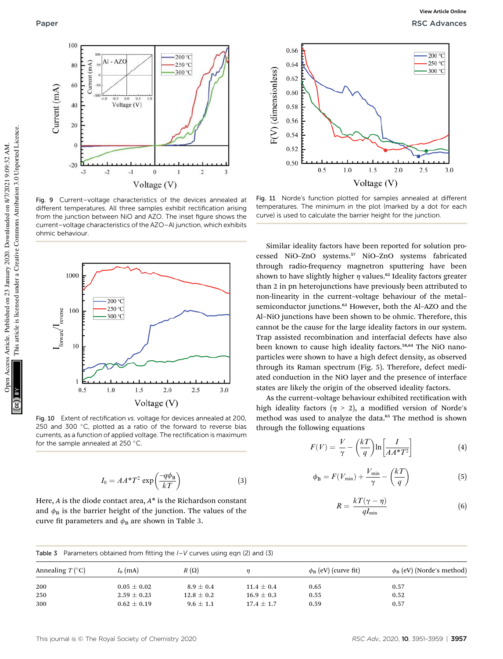

Fig. 9 Current–voltage characteristics of the devices annealed at different temperatures. All three samples exhibit rectification arising from the junction between NiO and AZO. The inset figure shows the current–voltage characteristics of the AZO–Al junction, which exhibits ohmic behaviour.



Fig. 10 Extent of rectification vs. voltage for devices annealed at 200, 250 and 300  $^{\circ}$ C, plotted as a ratio of the forward to reverse bias currents, as a function of applied voltage. The rectification is maximum for the sample annealed at 250  $^{\circ}$ C

$$
I_0 = AA^*T^2 \exp\left(\frac{-q\phi_B}{kT}\right) \tag{3}
$$

Here, *A* is the diode contact area, *A*\* is the Richardson constant and  $\phi_B$  is the barrier height of the junction. The values of the curve fit parameters and  $\phi_B$  are shown in Table 3.



Fig. 11 Norde's function plotted for samples annealed at different temperatures. The minimum in the plot (marked by a dot for each curve) is used to calculate the barrier height for the junction.

Similar ideality factors have been reported for solution processed NiO–ZnO systems.<sup>57</sup> NiO–ZnO systems fabricated through radio-frequency magnetron sputtering have been shown to have slightly higher  $\eta$  values.<sup>62</sup> Ideality factors greater than 2 in pn heterojunctions have previously been attributed to non-linearity in the current–voltage behaviour of the metal– semiconductor junctions.<sup>63</sup> However, both the Al-AZO and the Al–NiO junctions have been shown to be ohmic. Therefore, this cannot be the cause for the large ideality factors in our system. Trap assisted recombination and interfacial defects have also been known to cause high ideality factors.<sup>58,64</sup> The NiO nanoparticles were shown to have a high defect density, as observed through its Raman spectrum (Fig. 5). Therefore, defect mediated conduction in the NiO layer and the presence of interface states are likely the origin of the observed ideality factors.

As the current-voltage behaviour exhibited rectification with high ideality factors ( $\eta > 2$ ), a modified version of Norde's method was used to analyze the data.<sup>65</sup> The method is shown through the following equations

$$
F(V) = \frac{V}{\gamma} - \left(\frac{kT}{q}\right) \ln\left[\frac{I}{AA^*T^2}\right]
$$
 (4)

$$
\phi_{\rm B} = F(V_{\rm min}) + \frac{V_{\rm min}}{\gamma} - \left(\frac{kT}{q}\right) \tag{5}
$$

$$
R = \frac{kT(\gamma - \eta)}{qI_{\min}}\tag{6}
$$

| Table 3 Parameters obtained from fitting the $I-V$ curves using eqn (2) and (3) |                 |                |                |                                 |                                      |  |
|---------------------------------------------------------------------------------|-----------------|----------------|----------------|---------------------------------|--------------------------------------|--|
| Annealing $T$ ( $\rm{°C}$ )                                                     | $I_0$ (mA)      | $R(\Omega)$    | n              | $\phi_{\rm B}$ (eV) (curve fit) | $\phi_{\rm B}$ (eV) (Norde's method) |  |
| 200                                                                             | $0.05 \pm 0.02$ | $8.9 + 0.4$    | $11.4 + 0.4$   | 0.65                            | 0.57                                 |  |
| 250                                                                             | $2.59 \pm 0.23$ | $12.8 \pm 0.2$ | $16.9 \pm 0.3$ | 0.55                            | 0.52                                 |  |
| 300                                                                             | $0.62 \pm 0.19$ | $9.6 \pm 1.1$  | $17.4 \pm 1.7$ | 0.59                            | 0.57                                 |  |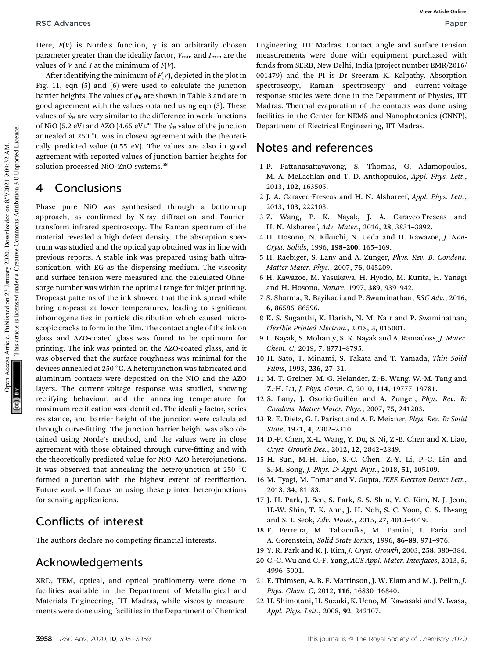Here,  $F(V)$  is Norde's function,  $\gamma$  is an arbitrarily chosen parameter greater than the ideality factor,  $V_{\text{min}}$  and  $I_{\text{min}}$  are the values of *V* and *I* at the minimum of  $F(V)$ .

After identifying the minimum of  $F(V)$ , depicted in the plot in Fig. 11, eqn (5) and (6) were used to calculate the junction barrier heights. The values of  $\phi_B$  are shown in Table 3 and are in good agreement with the values obtained using eqn (3). These values of  $\phi_B$  are very similar to the difference in work functions of NiO (5.2 eV) and AZO (4.65 eV).<sup>41</sup> The  $\phi_B$  value of the junction annealed at 250 °C was in closest agreement with the theoretically predicted value (0.55 eV). The values are also in good agreement with reported values of junction barrier heights for solution processed NiO–ZnO systems.<sup>58</sup>

### 4 Conclusions

Phase pure NiO was synthesised through a bottom-up approach, as confirmed by X-ray diffraction and Fouriertransform infrared spectroscopy. The Raman spectrum of the material revealed a high defect density. The absorption spectrum was studied and the optical gap obtained was in line with previous reports. A stable ink was prepared using bath ultrasonication, with EG as the dispersing medium. The viscosity and surface tension were measured and the calculated Ohnesorge number was within the optimal range for inkjet printing. Dropcast patterns of the ink showed that the ink spread while bring dropcast at lower temperatures, leading to significant inhomogeneities in particle distribution which caused microscopic cracks to form in the film. The contact angle of the ink on glass and AZO-coated glass was found to be optimum for printing. The ink was printed on the AZO-coated glass, and it was observed that the surface roughness was minimal for the devices annealed at 250 °C. A heterojunction was fabricated and aluminum contacts were deposited on the NiO and the AZO layers. The current–voltage response was studied, showing rectifying behaviour, and the annealing temperature for maximum rectification was identified. The ideality factor, series resistance, and barrier height of the junction were calculated through curve-fitting. The junction barrier height was also obtained using Norde's method, and the values were in close agreement with those obtained through curve-fitting and with the theoretically predicted value for NiO–AZO heterojunctions. It was observed that annealing the heterojunction at 250  $^{\circ}$ C formed a junction with the highest extent of rectification. Future work will focus on using these printed heterojunctions for sensing applications.

### Conflicts of interest

The authors declare no competing financial interests.

### Acknowledgements

XRD, TEM, optical, and optical profilometry were done in facilities available in the Department of Metallurgical and Materials Engineering, IIT Madras, while viscosity measurements were done using facilities in the Department of Chemical

Engineering, IIT Madras. Contact angle and surface tension measurements were done with equipment purchased with funds from SERB, New Delhi, India (project number EMR/2016/ 001479) and the PI is Dr Sreeram K. Kalpathy. Absorption spectroscopy, Raman spectroscopy and current–voltage response studies were done in the Department of Physics, IIT Madras. Thermal evaporation of the contacts was done using facilities in the Center for NEMS and Nanophotonics (CNNP), Department of Electrical Engineering, IIT Madras.

### Notes and references

- 1 P. Pattanasattayavong, S. Thomas, G. Adamopoulos, M. A. McLachlan and T. D. Anthopoulos, *Appl. Phys. Lett.*, 2013, 102, 163505.
- 2 J. A. Caraveo-Frescas and H. N. Alshareef, *Appl. Phys. Lett.*, 2013, 103, 222103.
- 3 Z. Wang, P. K. Nayak, J. A. Caraveo-Frescas and H. N. Alshareef, *Adv. Mater.*, 2016, 28, 3831–3892.
- 4 H. Hosono, N. Kikuchi, N. Ueda and H. Kawazoe, *J. Non-Cryst. Solids*, 1996, 198–200, 165–169.
- 5 H. Raebiger, S. Lany and A. Zunger, *Phys. Rev. B: Condens. Matter Mater. Phys.*, 2007, 76, 045209.
- 6 H. Kawazoe, M. Yasukawa, H. Hyodo, M. Kurita, H. Yanagi and H. Hosono, *Nature*, 1997, 389, 939–942.
- 7 S. Sharma, R. Bayikadi and P. Swaminathan, *RSC Adv.*, 2016, 6, 86586–86596.
- 8 K. S. Suganthi, K. Harish, N. M. Nair and P. Swaminathan, *Flexible Printed Electron.*, 2018, 3, 015001.
- 9 L. Nayak, S. Mohanty, S. K. Nayak and A. Ramadoss, *J. Mater. Chem. C*, 2019, 7, 8771–8795.
- 10 H. Sato, T. Minami, S. Takata and T. Yamada, *Thin Solid Films*, 1993, 236, 27–31.
- 11 M. T. Greiner, M. G. Helander, Z.-B. Wang, W.-M. Tang and Z.-H. Lu, *J. Phys. Chem. C*, 2010, 114, 19777–19781.
- 12 S. Lany, J. Osorio-Guillén and A. Zunger, *Phys. Rev. B: Condens. Matter Mater. Phys.*, 2007, 75, 241203.
- 13 R. E. Dietz, G. I. Parisot and A. E. Meixner, *Phys. Rev. B: Solid State*, 1971, 4, 2302–2310.
- 14 D.-P. Chen, X.-L. Wang, Y. Du, S. Ni, Z.-B. Chen and X. Liao, *Cryst. Growth Des.*, 2012, 12, 2842–2849.
- 15 H. Sun, M.-H. Liao, S.-C. Chen, Z.-Y. Li, P.-C. Lin and S.-M. Song, *J. Phys. D: Appl. Phys.*, 2018, 51, 105109.
- 16 M. Tyagi, M. Tomar and V. Gupta, *IEEE Electron Device Lett.*, 2013, 34, 81–83.
- 17 J. H. Park, J. Seo, S. Park, S. S. Shin, Y. C. Kim, N. J. Jeon, H.-W. Shin, T. K. Ahn, J. H. Noh, S. C. Yoon, C. S. Hwang and S. I. Seok, *Adv. Mater.*, 2015, 27, 4013–4019.
- 18 F. Ferreira, M. Tabacniks, M. Fantini, I. Faria and A. Gorenstein, *Solid State Ionics*, 1996, 86–88, 971–976.
- 19 Y. R. Park and K. J. Kim, *J. Cryst. Growth*, 2003, 258, 380–384.
- 20 C.-C. Wu and C.-F. Yang, *ACS Appl. Mater. Interfaces*, 2013, 5, 4996–5001.
- 21 E. Thimsen, A. B. F. Martinson, J. W. Elam and M. J. Pellin, *J. Phys. Chem. C*, 2012, 116, 16830–16840.
- 22 H. Shimotani, H. Suzuki, K. Ueno, M. Kawasaki and Y. Iwasa, *Appl. Phys. Lett.*, 2008, 92, 242107.